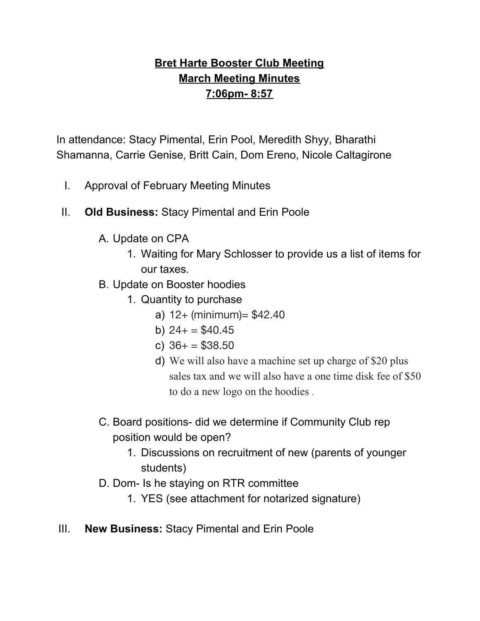# **Bret Harte Booster Club Meeting March Meeting Minutes 7:06pm- 8:57**

In attendance: Stacy Pimental, Erin Pool, Meredith Shyy, Bharathi Shamanna, Carrie Genise, Britt Cain, Dom Ereno, Nicole Caltagirone

- I. Approval of February Meeting Minutes
- II. **Old Business:** Stacy Pimental and Erin Poole
	- A. Update on CPA
		- 1. Waiting for Mary Schlosser to provide us a list of items for our taxes.
	- B. Update on Booster hoodies
		- 1. Quantity to purchase
			- a)  $12+$  (minimum) =  $$42.40$
			- b)  $24+ = $40.45$
			- c)  $36+ = $38.50$
			- d) We will also have a machine set up charge of \$20 plus sales tax and we will also have a one time disk fee of \$50 to do a new logo on the hoodies .
	- C. Board positions- did we determine if Community Club rep position would be open?
		- 1. Discussions on recruitment of new (parents of younger students)
	- D. Dom- Is he staying on RTR committee
		- 1. YES (see attachment for notarized signature)
- III. **New Business:** Stacy Pimental and Erin Poole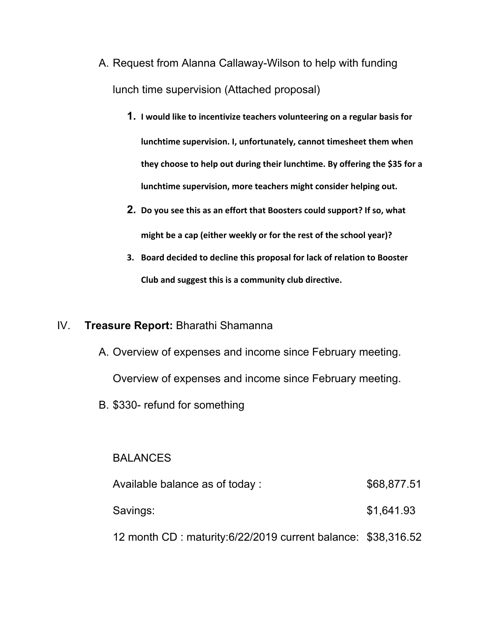- A. Request from Alanna Callaway-Wilson to help with funding lunch time supervision (Attached proposal)
	- **1. I would like to incentivize teachers volunteering on a regular basis for lunchtime supervision. I, unfortunately, cannot timesheet them when they choose to help out during their lunchtime. By offering the \$35 for a lunchtime supervision, more teachers might consider helping out.**
	- **2. Do you see this as an effort that Boosters could support? If so, what might be a cap (either weekly or for the rest of the school year)?**
	- **3. Board decided to decline this proposal for lack of relation to Booster Club and suggest this is a community club directive.**

# IV. **Treasure Report:** Bharathi Shamanna

- A. Overview of expenses and income since February meeting. Overview of expenses and income since February meeting.
- B. \$330- refund for something

# **BALANCES**

| Available balance as of today:                               | \$68,877.51 |  |
|--------------------------------------------------------------|-------------|--|
| Savings:                                                     | \$1,641.93  |  |
| 12 month CD: maturity:6/22/2019 current balance: \$38,316.52 |             |  |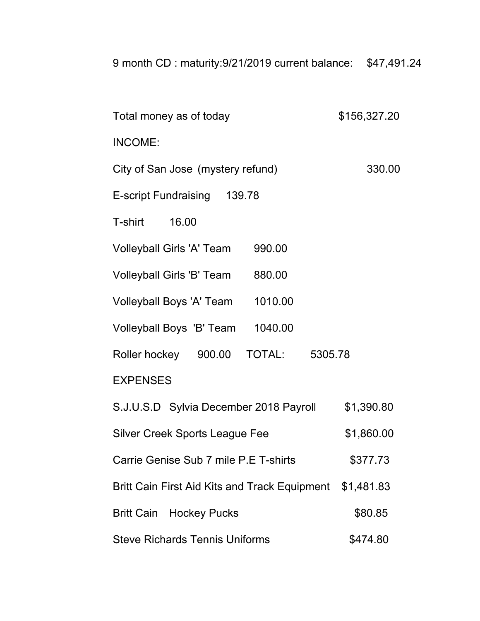| 9 month CD: maturity:9/21/2019 current balance: | \$47,491.24 |
|-------------------------------------------------|-------------|
|                                                 |             |

| Total money as of today                                  | \$156,327.20 |
|----------------------------------------------------------|--------------|
| INCOME:                                                  |              |
| City of San Jose (mystery refund)                        | 330.00       |
| E-script Fundraising 139.78                              |              |
| T-shirt 16.00                                            |              |
| Volleyball Girls 'A' Team<br>990.00                      |              |
| Volleyball Girls 'B' Team<br>880.00                      |              |
| Volleyball Boys 'A' Team 1010.00                         |              |
| Volleyball Boys 'B' Team 1040.00                         |              |
| Roller hockey  900.00  TOTAL:  5305.78                   |              |
| <b>EXPENSES</b>                                          |              |
| S.J.U.S.D Sylvia December 2018 Payroll                   | \$1,390.80   |
| <b>Silver Creek Sports League Fee</b>                    | \$1,860.00   |
| Carrie Genise Sub 7 mile P.E T-shirts                    | \$377.73     |
| Britt Cain First Aid Kits and Track Equipment \$1,481.83 |              |
| <b>Britt Cain Hockey Pucks</b>                           | \$80.85      |
| <b>Steve Richards Tennis Uniforms</b>                    | \$474.80     |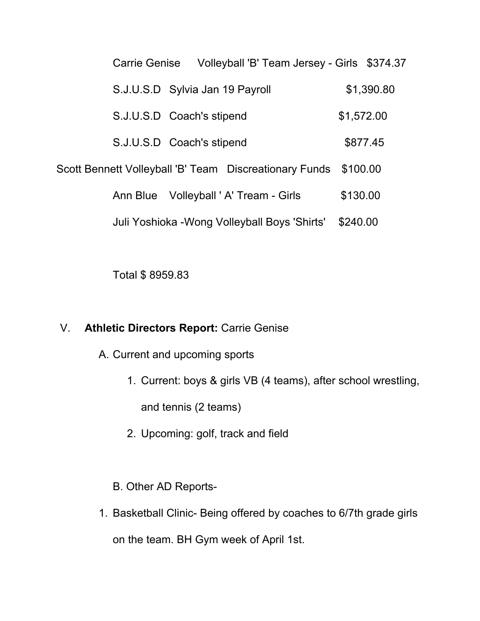| Carrie Genise                   |                           | Volleyball 'B' Team Jersey - Girls \$374.37            |            |          |  |
|---------------------------------|---------------------------|--------------------------------------------------------|------------|----------|--|
| S.J.U.S.D Sylvia Jan 19 Payroll |                           |                                                        | \$1,390.80 |          |  |
| S.J.U.S.D Coach's stipend       |                           |                                                        |            |          |  |
|                                 | S.J.U.S.D Coach's stipend |                                                        |            | \$877.45 |  |
|                                 |                           | Scott Bennett Volleyball 'B' Team Discreationary Funds | \$100.00   |          |  |
|                                 |                           | Ann Blue Volleyball ' A' Tream - Girls                 | \$130.00   |          |  |
|                                 |                           | Juli Yoshioka - Wong Volleyball Boys 'Shirts'          | \$240.00   |          |  |

Total \$ 8959.83

# V. **Athletic Directors Report:** Carrie Genise

- A. Current and upcoming sports
	- 1. Current: boys & girls VB (4 teams), after school wrestling,

and tennis (2 teams)

- 2. Upcoming: golf, track and field
- B. Other AD Reports-
- 1. Basketball Clinic- Being offered by coaches to 6/7th grade girls on the team. BH Gym week of April 1st.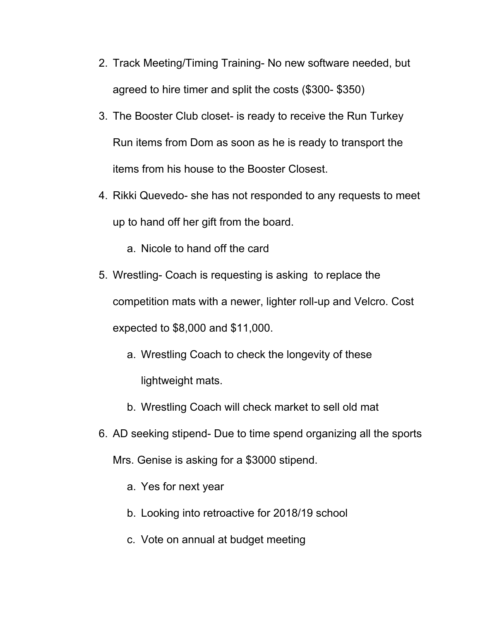- 2. Track Meeting/Timing Training- No new software needed, but agreed to hire timer and split the costs (\$300- \$350)
- 3. The Booster Club closet- is ready to receive the Run Turkey Run items from Dom as soon as he is ready to transport the items from his house to the Booster Closest.
- 4. Rikki Quevedo- she has not responded to any requests to meet up to hand off her gift from the board.
	- a. Nicole to hand off the card
- 5. Wrestling- Coach is requesting is asking to replace the competition mats with a newer, lighter roll-up and Velcro. Cost expected to \$8,000 and \$11,000.
	- a. Wrestling Coach to check the longevity of these lightweight mats.
	- b. Wrestling Coach will check market to sell old mat
- 6. AD seeking stipend- Due to time spend organizing all the sports
	- Mrs. Genise is asking for a \$3000 stipend.
		- a. Yes for next year
		- b. Looking into retroactive for 2018/19 school
		- c. Vote on annual at budget meeting